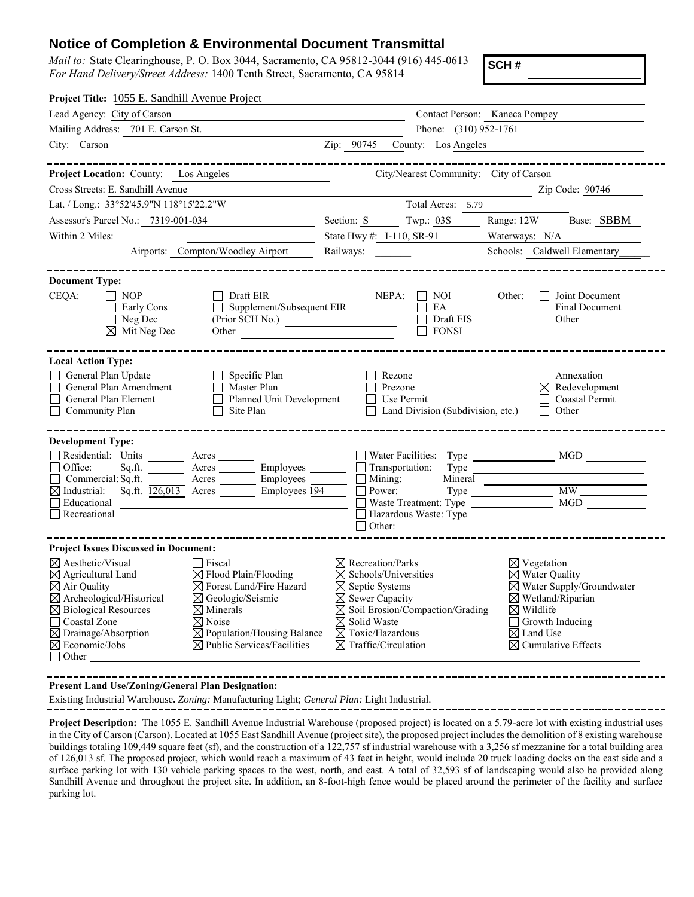## **Notice of Completion & Environmental Document Transmittal**

*Mail to:* State Clearinghouse, P. O. Box 3044, Sacramento, CA 95812-3044 (916) 445-0613 *For Hand Delivery/Street Address:* 1400 Tenth Street, Sacramento, CA 95814

**SCH #**

| Project Title: 1055 E. Sandhill Avenue Project                                                                                                                                                                                                                                                                                                                                                                                                                                                                                                                                                                                                                                                    |                                                                                                                                                   |                                                                                                                                                                                                                                                                          |                                        |                                                                                                                                                                                                                                  |  |
|---------------------------------------------------------------------------------------------------------------------------------------------------------------------------------------------------------------------------------------------------------------------------------------------------------------------------------------------------------------------------------------------------------------------------------------------------------------------------------------------------------------------------------------------------------------------------------------------------------------------------------------------------------------------------------------------------|---------------------------------------------------------------------------------------------------------------------------------------------------|--------------------------------------------------------------------------------------------------------------------------------------------------------------------------------------------------------------------------------------------------------------------------|----------------------------------------|----------------------------------------------------------------------------------------------------------------------------------------------------------------------------------------------------------------------------------|--|
| Lead Agency: City of Carson                                                                                                                                                                                                                                                                                                                                                                                                                                                                                                                                                                                                                                                                       |                                                                                                                                                   |                                                                                                                                                                                                                                                                          | Contact Person: Kaneca Pompey          |                                                                                                                                                                                                                                  |  |
| Mailing Address: 701 E. Carson St.<br><u> 1989 - Johann Barbara, martxa alemaniar a</u>                                                                                                                                                                                                                                                                                                                                                                                                                                                                                                                                                                                                           |                                                                                                                                                   | Phone: (310) 952-1761                                                                                                                                                                                                                                                    |                                        |                                                                                                                                                                                                                                  |  |
| $\frac{1}{2}$ $\frac{1}{2}$ $\frac{1}{2}$ $\frac{1}{2}$ $\frac{1}{2}$ $\frac{1}{2}$ $\frac{1}{2}$ $\frac{1}{2}$ $\frac{1}{2}$ $\frac{1}{2}$ $\frac{1}{2}$ $\frac{1}{2}$ $\frac{1}{2}$ $\frac{1}{2}$ $\frac{1}{2}$ $\frac{1}{2}$ $\frac{1}{2}$ $\frac{1}{2}$ $\frac{1}{2}$ $\frac{1}{2}$ $\frac{1}{2}$ $\frac{1}{2}$<br>City: Carson                                                                                                                                                                                                                                                                                                                                                               |                                                                                                                                                   |                                                                                                                                                                                                                                                                          |                                        | County: Los Angeles                                                                                                                                                                                                              |  |
| <b>Project Location: County:</b> Los Angeles                                                                                                                                                                                                                                                                                                                                                                                                                                                                                                                                                                                                                                                      |                                                                                                                                                   |                                                                                                                                                                                                                                                                          | City/Nearest Community: City of Carson | ________________                                                                                                                                                                                                                 |  |
| Cross Streets: E. Sandhill Avenue                                                                                                                                                                                                                                                                                                                                                                                                                                                                                                                                                                                                                                                                 |                                                                                                                                                   |                                                                                                                                                                                                                                                                          |                                        | Zip Code: 90746                                                                                                                                                                                                                  |  |
| Lat. / Long.: 33°52'45.9"N 118°15'22.2"W                                                                                                                                                                                                                                                                                                                                                                                                                                                                                                                                                                                                                                                          |                                                                                                                                                   | Total Acres: 5.79                                                                                                                                                                                                                                                        |                                        |                                                                                                                                                                                                                                  |  |
| Assessor's Parcel No.: 7319-001-034<br><u> 1989 - Johann Barbara, martxa a</u>                                                                                                                                                                                                                                                                                                                                                                                                                                                                                                                                                                                                                    |                                                                                                                                                   | Section: S Twp.: 03S                                                                                                                                                                                                                                                     |                                        | Range: 12W Base: SBBM                                                                                                                                                                                                            |  |
| Within 2 Miles:                                                                                                                                                                                                                                                                                                                                                                                                                                                                                                                                                                                                                                                                                   |                                                                                                                                                   | State Hwy #: I-110, SR-91                                                                                                                                                                                                                                                | Waterways: N/A                         |                                                                                                                                                                                                                                  |  |
| Airports: Compton/Woodley Airport                                                                                                                                                                                                                                                                                                                                                                                                                                                                                                                                                                                                                                                                 |                                                                                                                                                   | Railways:                                                                                                                                                                                                                                                                |                                        | Schools: Caldwell Elementary_                                                                                                                                                                                                    |  |
| <b>Document Type:</b>                                                                                                                                                                                                                                                                                                                                                                                                                                                                                                                                                                                                                                                                             |                                                                                                                                                   |                                                                                                                                                                                                                                                                          |                                        |                                                                                                                                                                                                                                  |  |
| CEQA:<br>$\Box$ NOP<br>Early Cons<br>$\Box$ Neg Dec<br>$\overline{\boxtimes}$ Mit Neg Dec                                                                                                                                                                                                                                                                                                                                                                                                                                                                                                                                                                                                         | $\Box$ Draft EIR<br>$\Box$ Supplement/Subsequent EIR<br>$(Prior \overbrace{SCH No.})$                                                             | $NEPA: \Box$ NOI<br>EA                                                                                                                                                                                                                                                   | Other:<br>Draft EIS<br><b>FONSI</b>    | Joint Document<br><b>Final Document</b><br>Other                                                                                                                                                                                 |  |
| <b>Local Action Type:</b><br>General Plan Update<br>General Plan Amendment<br>□<br>General Plan Element<br>$\Box$ Community Plan                                                                                                                                                                                                                                                                                                                                                                                                                                                                                                                                                                  | Specific Plan<br>$\Box$ Master Plan<br>Planned Unit Development<br>$\Box$ Site Plan                                                               | Rezone<br>Prezone<br>$\Box$ Use Permit<br>$\Box$ Land Division (Subdivision, etc.)                                                                                                                                                                                       |                                        | Annexation<br>$\boxtimes$ Redevelopment<br>Coastal Permit<br>Other<br>$\Box$                                                                                                                                                     |  |
| <b>Development Type:</b><br>Residential: Units ________ Acres _______<br>$\Box$ Office:<br>Commercial: Sq.ft. <u>Acres</u> Acres Employees _______<br>$\boxtimes$ Industrial: Sq.ft. $\overline{126,013}$ Acres Employees 194<br>Beducational Contract Contract of the Boston Contract of the Contract of the Contract of the Contract of the Contract of the Contract of the Contract of the Contract of the Contract of the Contract of the Contract of the C<br>Recreational Contract of the Contract of the Contract of the Contract of the Contract of the Contract of the Contract of the Contract of the Contract of the Contract of the Contract of the Contract of the Contract of the C |                                                                                                                                                   | $\Box$ Transportation:<br>$\Box$ Mining:<br>$\Box$ Power:<br>$\Box$ Other:                                                                                                                                                                                               | _________________                      | Type Type<br>Type MW<br>Waste Treatment: Type MGD                                                                                                                                                                                |  |
| <b>Project Issues Discussed in Document:</b>                                                                                                                                                                                                                                                                                                                                                                                                                                                                                                                                                                                                                                                      |                                                                                                                                                   |                                                                                                                                                                                                                                                                          |                                        |                                                                                                                                                                                                                                  |  |
| $\boxtimes$ Aesthetic/Visual<br>$\Box$ Fiscal<br>$\boxtimes$ Agricultural Land<br>$\boxtimes$ Air Quality<br>$\overline{\boxtimes}$ Archeological/Historical<br>$\boxtimes$ Geologic/Seismic<br>$\boxtimes$ Biological Resources<br>$\boxtimes$ Minerals<br>Coastal Zone<br>$\boxtimes$ Noise<br>$\boxtimes$ Drainage/Absorption<br>$\boxtimes$ Economic/Jobs<br>$\Box$ Other                                                                                                                                                                                                                                                                                                                     | $\boxtimes$ Flood Plain/Flooding<br>⊠ Forest Land/Fire Hazard<br>$\boxtimes$ Population/Housing Balance<br>$\boxtimes$ Public Services/Facilities | $\boxtimes$ Recreation/Parks<br>$\boxtimes$ Schools/Universities<br>$\boxtimes$ Septic Systems<br>$\boxtimes$ Sewer Capacity<br>$\boxtimes$ Soil Erosion/Compaction/Grading<br>$\boxtimes$ Solid Waste<br>$\boxtimes$ Toxic/Hazardous<br>$\boxtimes$ Traffic/Circulation |                                        | $\boxtimes$ Vegetation<br>$\boxtimes$ Water Quality<br>$\boxtimes$ Water Supply/Groundwater<br>$\boxtimes$ Wetland/Riparian<br>$\boxtimes$ Wildlife<br>Growth Inducing<br>$\boxtimes$ Land Use<br>$\boxtimes$ Cumulative Effects |  |

**Present Land Use/Zoning/General Plan Designation:**

Existing Industrial Warehouse**.** *Zoning:* Manufacturing Light; *General Plan:* Light Industrial.

**Project Description:**The 1055 E. Sandhill Avenue Industrial Warehouse (proposed project) is located on a 5.79-acre lot with existing industrial uses in the City of Carson (Carson). Located at 1055 East Sandhill Avenue (project site), the proposed project includes the demolition of 8 existing warehouse buildings totaling 109,449 square feet (sf), and the construction of a 122,757 sf industrial warehouse with a 3,256 sf mezzanine for a total building area of 126,013 sf. The proposed project, which would reach a maximum of 43 feet in height, would include 20 truck loading docks on the east side and a surface parking lot with 130 vehicle parking spaces to the west, north, and east. A total of 32,593 sf of landscaping would also be provided along Sandhill Avenue and throughout the project site. In addition, an 8-foot-high fence would be placed around the perimeter of the facility and surface parking lot.